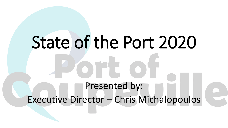## State of the Port 2020 Presented by: Executive Director – Chris Michalopoulos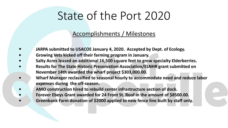## State of the Port 2020

#### Accomplishments / Milestones

- **JARPA submitted to USACOE January 4, 2020. Accepted by Dept. of Ecology.**
- **• Growing Vets kicked off their farming program in January.**
- **• Salty Acres leased an additional 16,500 square feet to grow specialty Elderberries.**
- **• Results for The State Historic Preservation Association/ELNHR grant submitted on November 14th awarded the wharf project \$303,000.00.**
- **• Wharf Manager reclassified to seasonal hourly to accommodate need and reduce labor expenses during the off-season.**
	- **• AMO construction hired to rebuild center infrastructure section of dock.**
		- **• Forever Ebeys Grant awarded for 24 Front St. Roof in the amount of \$8500.00. • Greenbank Farm donation of \$2000 applied to new fence line built by staff only.**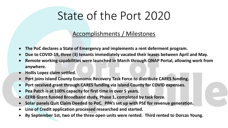## State of the Port 2020

#### Accomplishments / Milestones

- **The PoC declares a State of Emergency and implements a rent deferment program.**
- **Due to COVID-19, three (3) tenants immediately vacated their leases between April and May.**
- **Remote working capabilities were launched in March through QNAP Portal, allowing work from anywhere.**
- **Hollis Lopez claim settled.**
- **Port joins Island County Economic Recovery Task Force to distribute CARES funding.**
- **Port received grant through CARES funding via Island County for COVID expenses.**
- **Pea Patch is at 100% capacity for first time in over 5 years.**
- **CERB Grant funded Broadband study, Phase 1, completed by task force.**
- **Solar panels Quit Claim Deeded to PoC. PPA's set up with PSE for revenue generation.**
- **Line of Credit application processed researched and started.**
- **By September 1st, two of the three open units were rented. Third rented to Dorcas Young.**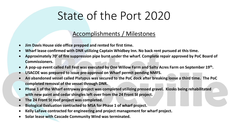## State of the Port 2020

#### Accomplishments / Milestones

- **Jim Davis House side office prepped and rented for first time.**
- **Wharf lease confirmed with DNR utilizing Captain Whidbey Inn. No back rent pursued at this time.**
- **Approximately 70' of fire suppression pipe burst under the wharf. Complete repair approved by PoC Board of Commissioners.**
- **A pop-up event called Fall Fest was executed by One Willow Farm and Salty Acres Farm on September 19th.**
- **USACOE was prepared to issue pre-approval on Wharf permit pending NMFS.**
- **An abandoned vessel called Platypus was secured to the PoC dock after breaking loose a third time. The PoC completed removal of the vessel through DNR.**
- **Phase 1 of the Wharf entryway project was completed utilizing pressed gravel. Kiosks being rehabilitated with new paint and cedar shingles left over from the 24 Front St project.**
- **The 24 Front St roof project was completed.**
- **Biological Evaluation contracted to MSA for Phase 1 of wharf project.**
- **Kelly LaFave contracted for engineering and project management for wharf project.**
- **Solar lease with Cascade Community Wind was terminated.**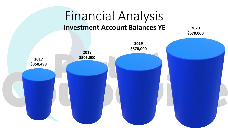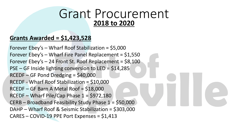### Grant Procurement **2018 to 2020**

#### **Grants Awarded = \$1,423,528**

Forever Ebey's – Wharf Roof Stabilization = \$5,000 Forever Ebey's – Wharf Fire Panel Replacement = \$1,550 Forever Ebey's  $-$  24 Front St. Roof Replacement = \$8,100 PSE – GF Inside lighting conversion to LED = \$14,285 RCEDF – GF Pond Dredging = \$40,000 RCEDF - Wharf Roof Stabilization = \$10,000 RCEDF – GF Barn A Metal Roof = \$18,000  $RCEDF - Wharf Pile/Cap Phase 1 = $972,180$ CERB – Broadband Feasibility Study Phase 1 = \$50,000 DAHP – Wharf Roof & Seismic Stabilization = \$303,000 CARES – COVID-19 PPE Port Expenses = \$1,413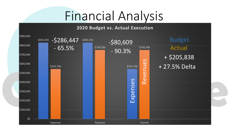#### **2020 Budget vs. Actual Execution**

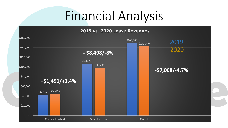#### **2019 vs. 2020 Lease Revenues**

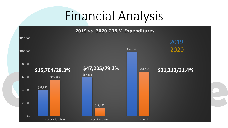#### **2019 vs. 2020 CR&M Expenditures**

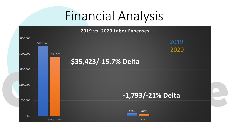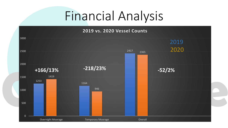**2019 vs. 2020 Vessel Counts**

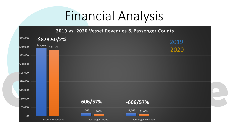